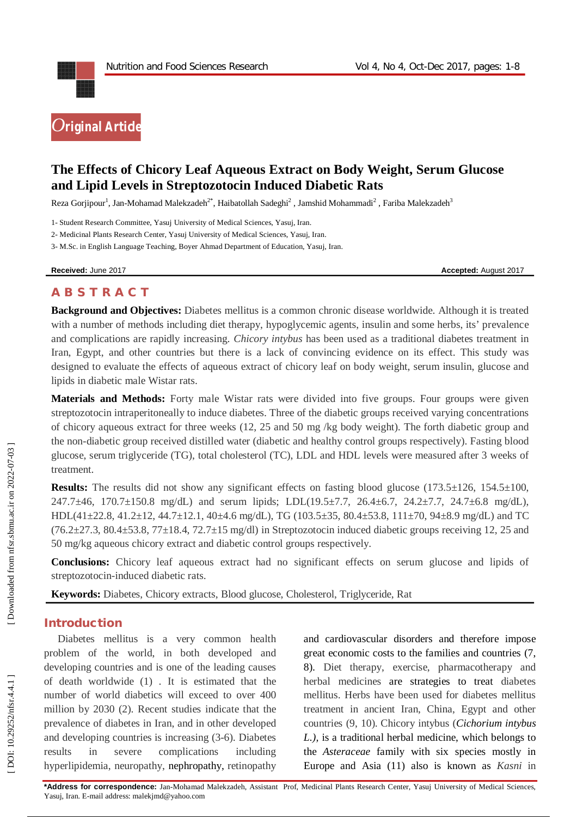

# **The Effects of Chicory Leaf Aqueous Extract on Body Weight, Serum Glucose and Lipid Levels in Streptozotocin Induced Diabetic Rats**

Reza Gorjipour<sup>1</sup>, Jan-Mohamad Malekzadeh $^{2^*}$ , Haibatollah Sadeghi $^2$  , Jamshid Mohammadi $^2$  , Fariba Malekzadeh $^3$ 

1 - Student Research Committee, Yasuj University of Medical Sciences, Yasuj, Iran.

2 - Medicinal Plants Research Center, Yasuj University of Medical Sciences, Yasuj, Iran.

3 - M.Sc. in English Language Teaching, Boyer Ahmad Department of Education, Yasuj, Iran.

**Received:** June 201

7 **Accepted:** August 201 7

# **A B S T R A C T**

**Background and Objectives:** Diabetes mellitus is a common chronic disease worldwide. Although it is treated with a number of methods including diet therapy, hypoglycemic agents, insulin and some herbs, its' prevalence and complications are rapidly increasing. *Chicory intybus* has been used as a traditional diabetes treatment in Iran, Egypt, and other countries but there is a lack of convincing evidence on its effect. This study was designed to evaluate the effects of aqueous extract of chicory leaf on body weight, serum insulin, glucose and lipids in diabetic male Wistar rats.

**Materials and Methods:** Forty male Wistar rats were divided into five groups. Four groups were given streptozotocin intraperitoneally to induce diabetes. Three of the diabetic groups received varying concentrations of chicory aqueous extract for three weeks (12, 25 and 50 mg /kg body weight). The forth diabetic group and the non -diabetic group received distilled water (diabetic and healthy control groups respectively). Fasting blood glucose, serum triglyceride (TG), total cholesterol (TC), LDL and HDL levels were measured after 3 weeks of treatment.

**Results:** The results did not show any significant effects on fasting blood glucose (173.5±126, 154.5±100, 247.7±46, 170.7±150.8 mg/dL) and serum lipids; LDL(19.5±7.7, 26.4±6.7, 24.2±7.7, 24.7±6.8 mg/dL), HDL(41±22.8, 41.2±12, 44.7±12.1, 40±4.6 mg/dL), TG (103.5±35, 80.4±53.8, 111±70, 94±8.9 mg/dL) and TC  $(76.2\pm 27.3, 80.4\pm 53.8, 77\pm 18.4, 72.7\pm 15 \text{ mg/dl})$  in Streptozotocin induced diabetic groups receiving 12, 25 and 50 mg/kg aqueous chicory extract and diabetic control groups respectively.

**Conclusions:** Chicory leaf aqueous extract had no significant effects on serum glucose and lipids of streptozotocin -induced diabetic rats.

**Keywords:** Diabetes, Chicory extracts, Blood glucose, Cholesterol, Triglyceride, Rat

### **Introduction**

Diabetes mellitus is a very common health problem of the world, in both developed and developing countries and is one of the leading causes of death worldwide (1) . It is estimated that the number of world diabetics will exceed to over 400 million by 2030 (2). Recent studies indicate that the prevalence of diabetes in Iran, and in other developed and developing countries is increasing (3 -6). Diabetes results in severe complications including hyperlipidemia, neuropathy, nephropathy, retinopathy

and cardiovascular disorders and therefore impose great economic costs to the families and countries (7, 8). Diet therapy, exercise, pharmacotherapy and herbal medicines are strategies to treat diabetes mellitus. Herbs have been used for diabetes mellitus treatment in ancient Iran, China, Egypt and other countries (9, 10). Chicory intybus (*Cichorium intybus L.),* is a traditional herbal medicine, which belongs to the *Asteraceae* family with six species mostly in Europe and Asia (11) also is known as *Kasni* in

**\*Address for correspondence:** Jan -Mohamad Malekzadeh , Assistant Prof, Medicinal Plants Research Center, Yasuj University of Medical Sciences, Yasuj, Iran . E -mail address: malekjmd@yahoo.com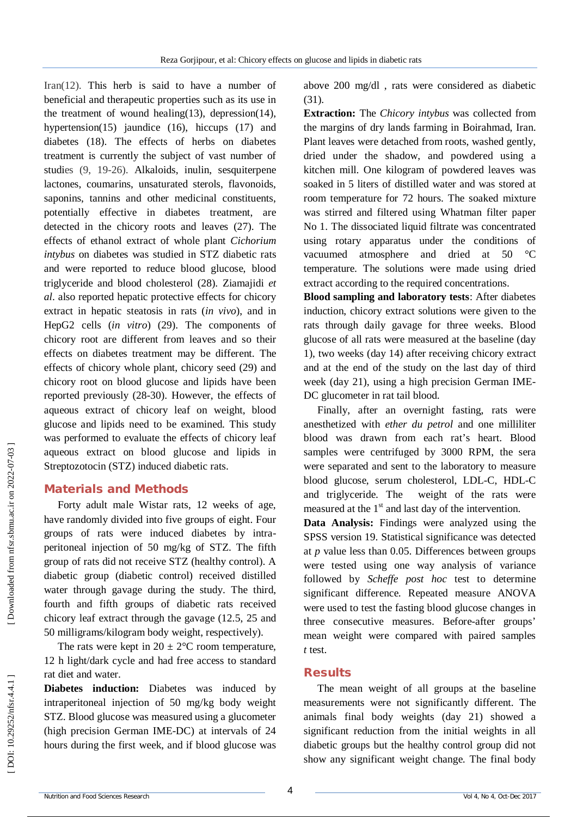Iran(12) . This herb is said to have a number of beneficial and therapeutic properties such as its use in the treatment of wound healing(13), depression(14), hypertension(15) jaundice (16), hiccups (17) and diabetes (18). The effects of herbs on diabetes treatment is currently the subject of vast number of studies (9, 1 9 -26). Alkaloids, inulin, sesquiterpene lactones, coumarins, unsaturated sterols, flavonoids, saponins, tannins and other medicinal constituents, potentially effective in diabetes treatment, are detected in the chicory roots and leaves (27). The effects of ethanol extract of whole plant *Cichorium intybus* on diabetes was studied in STZ diabetic rats and were reported to reduce blood glucose, blood triglyceride and blood cholesterol (28). Ziamajidi *et al* . also reported hepatic protective effects for chicory extract in hepatic steatosis in rats (*in vivo*), and in HepG2 cells (*in vitro*) (29) . The components of chicory root are different from leaves and so their effects on diabetes treatment may be different. The effects of chicory whole plant, chicory seed (29) and chicory root on blood glucose and lipids have been reported previously (28 -30). However, the effects of aqueous extract of chicory leaf on weight, blood glucose and lipids need to be examined. This study was performed to evaluate the effects of chicory leaf aqueous extract on blood glucose and lipids in Streptozotocin (STZ) induced diabetic rats.

#### **Material s and Methods**

Forty adult male Wistar rats, 12 weeks of age, have randomly divided into five groups of eight. Four groups of rats were induced diabetes by intra peritoneal injection of 50 mg/kg of STZ. The fifth group of rats did not receive STZ (healthy control). A diabetic group (diabetic control) received distilled water through gavage during the study. The third, fourth and fifth groups of diabetic rats received chicory leaf extract through the gavage (12.5, 25 and 50 milligrams/kilogram body weight, respectively).

The rats were kept in  $20 \pm 2$ °C room temperature, 12 h light/dark cycle and had free access to standard rat diet and water.

**Diabetes induction:** Diabetes was induced by intraperitoneal injection of 50 mg/kg body weight STZ. Blood glucose was measured using a glucometer (high precision German IME -DC) at intervals of 24 hours during the first week, and if blood glucose was

above 200 mg/dl , rats were considered as diabetic (31) .

**Extraction:** The *Chicory intybus* was collected from the margins of dry lands farming in Boirahmad, Iran. Plant leaves were detached from roots, washed gently, dried under the shadow, and powdered using a kitchen mill. One kilogram of powdered leaves was soaked in 5 liters of distilled water and was stored at room temperature for 72 hours. The soaked mixture was stirred and filtered using Whatman filter paper No 1. The dissociated liquid filtrate was concentrated using rotary apparatus under the conditions of vacuumed atmosphere and dried at 50 °C temperature. The solutions were made using dried extract according to the required concentrations.

**Blood sampling and laboratory tests**: After diabetes induction, chicory extract solutions were given to the rats through daily gavage for three weeks. Blood glucose of all rats were measured at the baseline (day 1), two weeks (day 14) after receiving chicory extract and at the end of the study on the last day of third week (day 21), using a high precision German IME - DC glucometer in rat tail blood.

Finally, after an overnight fasting, rats were anesthetized with *ether du petrol* and one milliliter blood was drawn from each rat's heart. Blood samples were centrifuged by 3000 RPM, the sera were separated and sent to the laboratory to measure blood glucose, serum cholesterol, LDL -C, HDL -C and triglyceride. The weight of the rats were measured at the  $1<sup>st</sup>$  and last day of the intervention.

**Data Analysis:** Findings were analyzed using the SPSS version 19. Statistical significance was detected at *p* value less than 0.05. Differences between groups were tested using one way analysis of variance followed by *Scheffe post hoc* test to determine significant difference. Repeated measure ANOVA were used to test the fasting blood glucose changes in three consecutive measures. Before -after groups' mean weight were compared with paired samples *t* test.

#### **Results**

The mean weight of all groups at the baseline measurements were not significantly different. The animals final body weights (day 21) showed a significant reduction from the initial weights in all diabetic groups but the healthy control group did not show any significant weight change. The final body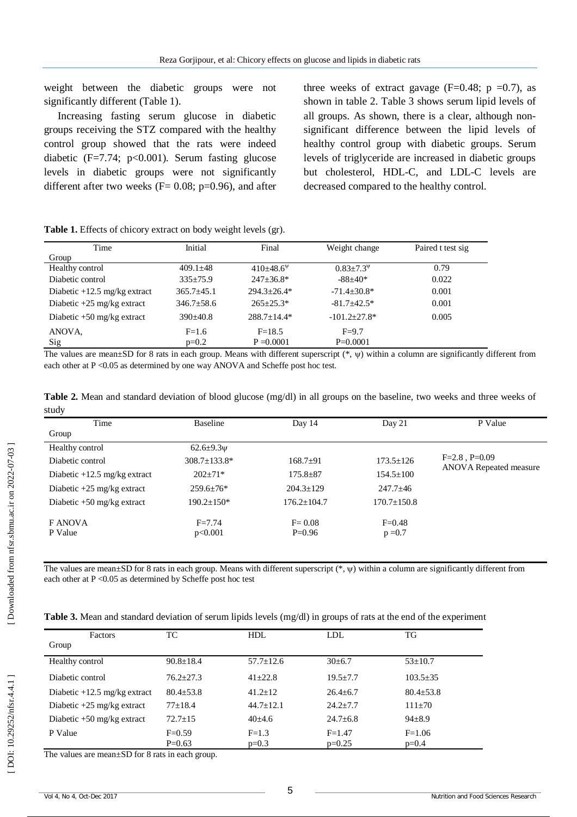weight between the diabetic groups were not significantly different (Table 1).

Increasing fasting serum glucose in diabetic groups receiving the STZ compared with the healthy control group showed that the rats were indeed diabetic  $(F=7.74; p<0.001)$ . Serum fasting glucose levels in diabetic groups were not significantly different after two weeks ( $F = 0.08$ ; p=0.96), and after three weeks of extract gavage ( $F=0.48$ ;  $p = 0.7$ ), as shown in table 2. Table 3 shows serum lipid levels of all groups. As shown, there is a clear, although non significant difference between the lipid levels of healthy control group with diabetic groups. Serum levels of triglyceride are increased in diabetic groups but cholesterol, HDL -C, and LDL -C levels are decreased compared to the healthy control.

| <b>Table 1.</b> Effects of chicory extract on body weight levels (gr). |                  |                      |                     |                   |  |  |  |  |
|------------------------------------------------------------------------|------------------|----------------------|---------------------|-------------------|--|--|--|--|
| Time                                                                   | Initial          | Final                | Weight change       | Paired t test sig |  |  |  |  |
| Group                                                                  |                  |                      |                     |                   |  |  |  |  |
| Healthy control                                                        | $409.1 \pm 48$   | $410\pm48.6^{\circ}$ | $0.83 + 7.3^{\psi}$ | 0.79              |  |  |  |  |
| Diabetic control                                                       | $335 \pm 75.9$   | $247 \pm 36.8^*$     | $-88+40*$           | 0.022             |  |  |  |  |
| Diabetic $+12.5$ mg/kg extract                                         | $365.7 \pm 45.1$ | $294.3 \pm 26.4*$    | $-71.4 \pm 30.8^*$  | 0.001             |  |  |  |  |
| Diabetic $+25$ mg/kg extract                                           | $346.7 \pm 58.6$ | $265 \pm 25.3*$      | $-81.7 + 42.5*$     | 0.001             |  |  |  |  |
| Diabetic $+50$ mg/kg extract                                           | $390 \pm 40.8$   | $288.7 + 14.4*$      | $-101.2 \pm 27.8^*$ | 0.005             |  |  |  |  |
| ANOVA,                                                                 | $F=1.6$          | $F=18.5$             | $F=9.7$             |                   |  |  |  |  |
| Sig                                                                    | $p=0.2$          | $P = 0.0001$         | $P=0.0001$          |                   |  |  |  |  |

The values are mean $\pm SD$  for 8 rats in each group. Means with different superscript  $(*, \psi)$  within a column are significantly different from each other at P < 0.05 as determined by one way ANOVA and Scheffe post hoc test.

|       |  | <b>Table 2.</b> Mean and standard deviation of blood glucose $(mg/dl)$ in all groups on the baseline, two weeks and three weeks of |  |  |  |  |  |  |  |
|-------|--|------------------------------------------------------------------------------------------------------------------------------------|--|--|--|--|--|--|--|
| study |  |                                                                                                                                    |  |  |  |  |  |  |  |

| Time                           | Baseline              | Day 14                 | Day 21                  | P Value                       |
|--------------------------------|-----------------------|------------------------|-------------------------|-------------------------------|
| Group                          |                       |                        |                         |                               |
| Healthy control                | 62.6 $\pm$ 9.3 $\psi$ |                        |                         |                               |
| Diabetic control               | 308.7±133.8*          | $168.7+91$             | $173.5 \pm 126$         | $F=2.8$ , $P=0.09$            |
| Diabetic $+12.5$ mg/kg extract | $202 \pm 71*$         | $175.8 \pm 87$         | $154.5 \pm 100$         | <b>ANOVA</b> Repeated measure |
| Diabetic $+25$ mg/kg extract   | $259.6 \pm 76*$       | $204.3 \pm 129$        | $247.7 \pm 46$          |                               |
| Diabetic $+50$ mg/kg extract   | $190.2 \pm 150*$      | $176.2 \pm 104.7$      | $170.7 \pm 150.8$       |                               |
| F ANOVA<br>P Value             | $F = 7.74$<br>p<0.001 | $F = 0.08$<br>$P=0.96$ | $F = 0.48$<br>$p = 0.7$ |                               |

The values are mean $\pm SD$  for 8 rats in each group. Means with different superscript  $(*,\psi)$  within a column are significantly different from each other at P < 0.05 as determined by Scheffe post hoc test

| Table 3. Mean and standard deviation of serum lipids levels (mg/dl) in groups of rats at the end of the experiment |  |  |
|--------------------------------------------------------------------------------------------------------------------|--|--|
|                                                                                                                    |  |  |

| <b>Factors</b>                 | TC              | <b>HDL</b>      | LDL            | TG             |
|--------------------------------|-----------------|-----------------|----------------|----------------|
| Group                          |                 |                 |                |                |
| Healthy control                | $90.8 \pm 18.4$ | $57.7 \pm 12.6$ | $30\pm 6.7$    | $53 \pm 10.7$  |
| Diabetic control               | $76.2 + 27.3$   | $41 + 22.8$     | $19.5 + 7.7$   | $103.5 \pm 35$ |
| Diabetic $+12.5$ mg/kg extract | $80.4 + 53.8$   | $41.2 + 12$     | $26.4 + 6.7$   | $80.4 + 53.8$  |
| Diabetic $+25$ mg/kg extract   | $77+18.4$       | $44.7 + 12.1$   | $24.2 + 7.7$   | $111+70$       |
| Diabetic $+50$ mg/kg extract   | $72.7 + 15$     | $40+4.6$        | $24.7 \pm 6.8$ | $94 + 8.9$     |
| P Value                        | $F=0.59$        | $F=1.3$         | $F = 1.47$     | $F = 1.06$     |
|                                | $P=0.63$        | $p=0.3$         | $p=0.25$       | $p=0.4$        |

The values are mean±SD for 8 rats in each group.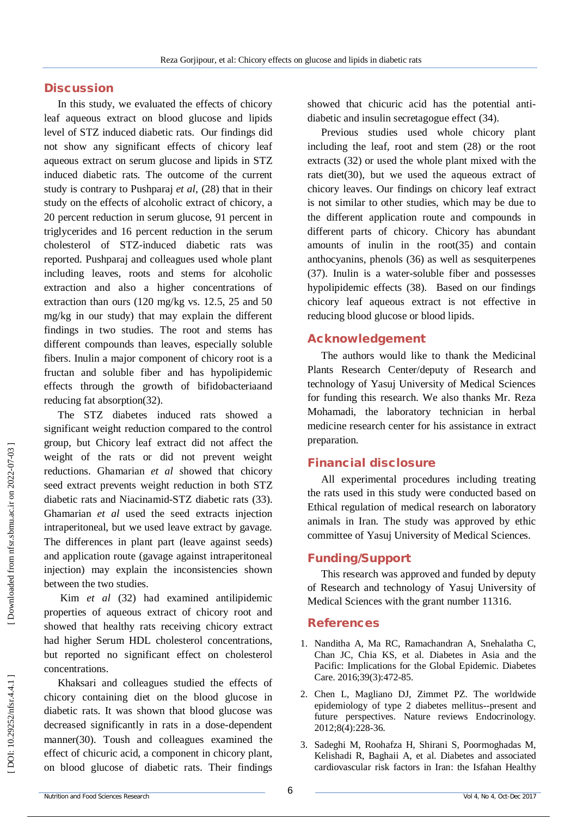# **Discussion**

In this study, we evaluated the effects of chicory leaf aqueous extract on blood glucose and lipids level of STZ induced diabetic rats. Our findings did not show any significant effects of chicory leaf aqueous extract on serum glucose and lipids in STZ induced diabetic rats . The outcome of the current study is contrary to Pushparaj *et al*, (28) that in their study on the effects of alcoholic extract of chicory, a 20 percent reduction in serum glucose, 91 percent in triglycerides and 16 percent reduction in the serum cholesterol of STZ -induced diabetic rats was reported. Pushparaj and colleagues used whole plant including leaves, roots and stems for alcoholic extraction and also a higher concentrations of extraction than ours (120 mg/kg vs. 12.5, 25 and 50 mg/kg in our study) that may explain the different findings in two studies. The root and stems has different compounds than leaves, especially soluble fibers. Inulin a major component of chicory root is a fructan and soluble fiber and has hypolipidemic effects through the growth of bifidobacteriaand reducing fat absorption(32) .

The STZ diabetes induced rats showed a significant weight reduction compared to the control group, but Chicory leaf extract did not affect the weight of the rats or did not prevent weight reductions. Ghamarian *et al* showed that chicory seed extract prevents weight reduction in both STZ diabetic rats and Niacinamid -STZ diabetic rats (33). Ghamarian *et al* used the seed extracts injection intraperitoneal, but we used leave extract by gavage. The differences in plant part (leave against seeds) and application route (gavage against intraperitoneal injection) may explain the inconsistencies shown between the two studies.

Kim *et al* (32) had examined antilipidemic properties of aqueous extract of chicory root and showed that healthy rats receiving chicory extract had higher Serum HDL cholesterol concentrations, but reported no significant effect on cholesterol concentrations.

Khaksari and colleagues studied the effects of chicory containing diet on the blood glucose in diabetic rats. It was shown that blood glucose was decreased significantly in rats in a dose -dependent manner(30). Toush and colleagues examined the effect of chicuric acid, a component in chicory plant, on blood glucose of diabetic rats. Their findings

showed that chicuric acid has the potential anti diabetic and insulin secretagogue effect (34).

Previous studies used whole chicory plant including the leaf, root and stem (28) or the root extracts (32) or used the whole plant mixed with the rats diet(30), but we used the aqueous extract of chicory leaves. Our findings on chicory leaf extract is not similar to other studies, which may be due to the different application route and compounds in different parts of chicory. Chicory has abundant amounts of inulin in the root(35) and contain anthocyanins, phenols (36) as well as sesquiterpenes (37). Inulin is a water -soluble fiber and possesses hypolipidemic effects (38). Based on our findings chicory leaf aqueous extract is not effective in reducing blood glucose or blood lipids.

### **Acknowledgement**

The authors would like to thank the Medicinal Plants Research Center/deputy of Research and technology of Yasuj University of Medical Sciences for funding this research. We also thanks Mr. Reza Mohamadi, the laboratory technician in herbal medicine research center for his assistance in extract preparation.

### **Financial disclosure**

All experimental procedures including treating the rats used in this study were conducted based on Ethical regulation of medical research on laboratory animals in Iran. The study was approved by ethic committee of Yasuj University of Medical Sciences.

### **Funding/Support**

This research was approved and funded by deputy of Research and technology of Yasuj University of Medical Sciences with the grant number 11316.

#### **References**

- 1. Nanditha A, Ma RC, Ramachandran A, Snehalatha C, Chan JC, Chia KS, et al. Diabetes in Asia and the Pacific: Implications for the Global Epidemic. Diabetes Care. 2016;39(3):472 -85.
- 2. Chen L, Magliano DJ, Zimmet PZ. The worldwide epidemiology of type 2 diabetes mellitus--present and future perspectives. Nature reviews Endocrinology. 2012;8(4):228 -36.
- 3. Sadeghi M, Roohafza H, Shirani S, Poormoghadas M, Kelishadi R, Baghaii A, et al. Diabetes and associated cardiovascular risk factors in Iran: the Isfahan Healthy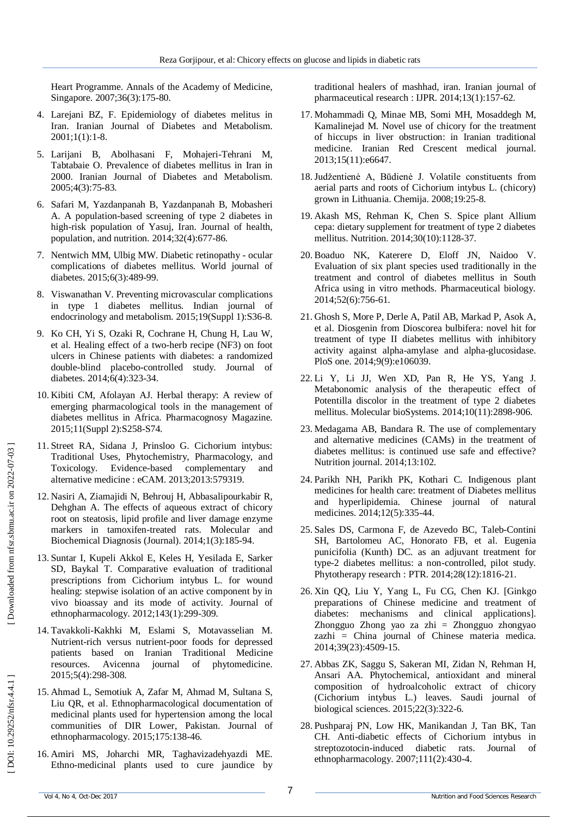Heart Programme. Annals of the Academy of Medicine, Singapore. 2007;36(3):175 -80.

- 4. Larejani BZ, F. Epidemiology of diabetes melitus in Iran. Iranian Journal of Diabetes and Metabolism. 2001;1(1):1 -8.
- 5. Larijani B, Abolhasani F, Mohajeri -Tehrani M, Tabtabaie O. Prevalence of diabetes mellitus in Iran in 2000. Iranian Journal of Diabetes and Metabolism. 2005;4(3):75 -83.
- 6. Safari M, Yazdanpanah B, Yazdanpanah B, Mobasheri A. A population -based screening of type 2 diabetes in high -risk population of Yasuj, Iran. Journal of health, population, and nutrition. 2014;32(4):677 -86.
- 7. Nentwich MM, Ulbig MW. Diabetic retinopathy ocular complications of diabetes mellitus. World journal of diabetes. 2015;6(3):489 -99.
- 8. Viswanathan V. Preventing microvascular complications in type 1 diabetes mellitus. Indian journal of endocrinology and metabolism. 2015;19(Suppl 1):S36 -8.
- 9. Ko CH, Yi S, Ozaki R, Cochrane H, Chung H, Lau W, et al. Healing effect of a two -herb recipe (NF3) on foot ulcers in Chinese patients with diabetes: a randomized double -blind placebo -controlled study. Journal of diabetes. 2014;6(4):323 -34.
- 10. Kibiti CM, Afolayan AJ. Herbal therapy: A review of emerging pharmacological tools in the management of diabetes mellitus in Africa. Pharmacognosy Magazine. 2015;11(Suppl 2):S258 -S74.
- 11. Street RA, Sidana J, Prinsloo G. Cichorium intybus: Traditional Uses, Phytochemistry, Pharmacology, and Toxicology. Evidence -based complementary and alternative medicine : eCAM. 2013;2013:579319.
- 12. Nasiri A, Ziamajidi N, Behrouj H, Abbasalipourkabir R, Dehghan A. The effects of aqueous extract of chicory root on steatosis, lipid profile and liver damage enzyme markers in tamoxifen -treated rats. Molecular and Biochemical Diagnosis (Journal). 2014;1(3):185 -94.
- 13. Suntar I, Kupeli Akkol E, Keles H, Yesilada E, Sarker SD, Baykal T. Comparative evaluation of traditional prescriptions from Cichorium intybus L. for wound healing: stepwise isolation of an active component by in vivo bioassay and its mode of activity. Journal of ethnopharmacology. 2012;143(1):299 -309.
- 14. Tavakkoli -Kakhki M, Eslami S, Motavasselian M. Nutrient -rich versus nutrient -poor foods for depressed patients based on Iranian Traditional Medicine resources. Avicenna journal of phytomedicine. 2015;5(4):298 -308.
- 15. Ahmad L, Semotiuk A, Zafar M, Ahmad M, Sultana S, Liu QR, et al. Ethnopharmacological documentation of medicinal plants used for hypertension among the local communities of DIR Lower, Pakistan. Journal of ethnopharmacology. 2015;175:138 -46.
- 16. Amiri MS, Joharchi MR, Taghavizadehyazdi ME. Ethno -medicinal plants used to cure jaundice by

traditional healers of mashhad, iran. Iranian journal of pharmaceutical research : IJPR. 2014;13(1):157 -62.

- 17. Mohammadi Q, Minae MB, Somi MH, Mosaddegh M, Kamalinejad M. Novel use of chicory for the treatment of hiccups in liver obstruction: in Iranian traditional medicine. Iranian Red Crescent medical journal. 2013;15(11):e6647.
- 18.Judžentienė A, Būdienė J. Volatile constituents from aerial parts and roots of Cichorium intybus L. (chicory) grown in Lithuania. Chemija. 2008;19:25 -8.
- 19. Akash MS, Rehman K, Chen S. Spice plant Allium cepa: dietary supplement for treatment of type 2 diabetes mellitus. Nutrition. 2014;30(10):1128 -37.
- 20. Boaduo NK, Katerere D, Eloff JN, Naidoo V. Evaluation of six plant species used traditionally in the treatment and control of diabetes mellitus in South Africa using in vitro methods. Pharmaceutical biology. 2014;52(6):756 -61.
- 21. Ghosh S, More P, Derle A, Patil AB, Markad P, Asok A, et al. Diosgenin from Dioscorea bulbifera: novel hit for treatment of type II diabetes mellitus with inhibitory activity against alpha -amylase and alpha -glucosidase. PloS one. 2014;9(9):e106039.
- 22. Li Y, Li JJ, Wen XD, Pan R, He YS, Yang J. Metabonomic analysis of the therapeutic effect of Potentilla discolor in the treatment of type 2 diabetes mellitus. Molecular bioSystems. 2014;10(11):2898 -906.
- 23. Medagama AB, Bandara R. The use of complementary and alternative medicines (CAMs) in the treatment of diabetes mellitus: is continued use safe and effective? Nutrition journal. 2014;13:102.
- 24. Parikh NH, Parikh PK, Kothari C. Indigenous plant medicines for health care: treatment of Diabetes mellitus and hyperlipidemia. Chinese journal of natural medicines. 2014;12(5):335 -44.
- 25. Sales DS, Carmona F, de Azevedo BC, Taleb -Contini SH, Bartolomeu AC, Honorato FB, et al. Eugenia punicifolia (Kunth) DC. as an adjuvant treatment for type -2 diabetes mellitus: a non -controlled, pilot study. Phytotherapy research : PTR. 2014;28(12):1816 -21.
- 26. Xin QQ, Liu Y, Yang L, Fu CG, Chen KJ. [Ginkgo preparations of Chinese medicine and treatment of diabetes: mechanisms and clinical applications]. Zhongguo Zhong yao za zhi = Zhongguo zhongyao zazhi = China journal of Chinese materia medica. 2014;39(23):4509 -15.
- 27. Abbas ZK, Saggu S, Sakeran MI, Zidan N, Rehman H, Ansari AA. Phytochemical, antioxidant and mineral composition of hydroalcoholic extract of chicory (Cichorium intybus L.) leaves. Saudi journal of biological sciences. 2015;22(3):322 -6.
- 28. Pushparaj PN, Low HK, Manikandan J, Tan BK, Tan CH. Anti -diabetic effects of Cichorium intybus in streptozotocin -induced diabetic rats. Journal of ethnopharmacology. 2007;111(2):430 -4.

[Downloaded from nfsr.sbmu.ac.ir on 2022-07-03]